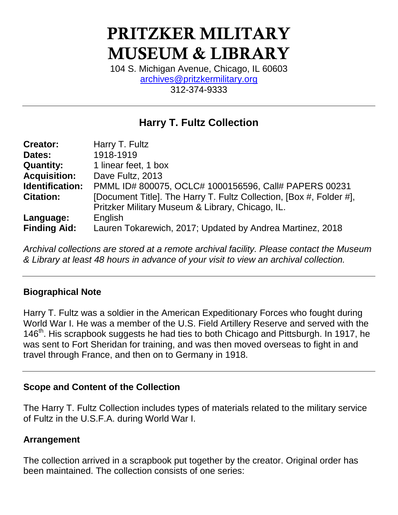# **PRITZKER MILITARY MUSEUM & LIBRARY**

104 S. Michigan Avenue, Chicago, IL 60603 [archives@pritzkermilitary.org](mailto:archives@pritzkermilitary.org) 312-374-9333

# **Harry T. Fultz Collection**

| <b>Creator:</b>     | Harry T. Fultz                                                      |
|---------------------|---------------------------------------------------------------------|
| Dates:              | 1918-1919                                                           |
| <b>Quantity:</b>    | 1 linear feet, 1 box                                                |
| <b>Acquisition:</b> | Dave Fultz, 2013                                                    |
| Identification:     | PMML ID# 800075, OCLC# 1000156596, Call# PAPERS 00231               |
| <b>Citation:</b>    | [Document Title]. The Harry T. Fultz Collection, [Box #, Folder #], |
|                     | Pritzker Military Museum & Library, Chicago, IL.                    |
| Language:           | English                                                             |
| <b>Finding Aid:</b> | Lauren Tokarewich, 2017; Updated by Andrea Martinez, 2018           |

*Archival collections are stored at a remote archival facility. Please contact the Museum & Library at least 48 hours in advance of your visit to view an archival collection.*

# **Biographical Note**

Harry T. Fultz was a soldier in the American Expeditionary Forces who fought during World War I. He was a member of the U.S. Field Artillery Reserve and served with the 146<sup>th</sup>. His scrapbook suggests he had ties to both Chicago and Pittsburgh. In 1917, he was sent to Fort Sheridan for training, and was then moved overseas to fight in and travel through France, and then on to Germany in 1918.

#### **Scope and Content of the Collection**

The Harry T. Fultz Collection includes types of materials related to the military service of Fultz in the U.S.F.A. during World War I.

# **Arrangement**

The collection arrived in a scrapbook put together by the creator. Original order has been maintained. The collection consists of one series: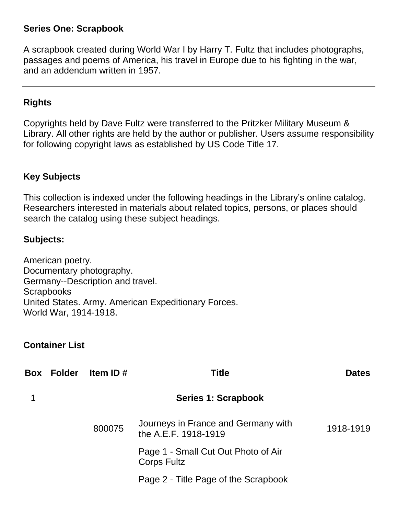#### **Series One: Scrapbook**

A scrapbook created during World War I by Harry T. Fultz that includes photographs, passages and poems of America, his travel in Europe due to his fighting in the war, and an addendum written in 1957.

## **Rights**

Copyrights held by Dave Fultz were transferred to the Pritzker Military Museum & Library. All other rights are held by the author or publisher. Users assume responsibility for following copyright laws as established by US Code Title 17.

# **Key Subjects**

This collection is indexed under the following headings in the Library's online catalog. Researchers interested in materials about related topics, persons, or places should search the catalog using these subject headings.

## **Subjects:**

American poetry. Documentary photography. Germany--Description and travel. **Scrapbooks** United States. Army. American Expeditionary Forces. World War, 1914-1918.

#### **Container List**

| Box Folder | Item ID $#$ | <b>Title</b>                                                | <b>Dates</b> |
|------------|-------------|-------------------------------------------------------------|--------------|
|            |             | Series 1: Scrapbook                                         |              |
|            | 800075      | Journeys in France and Germany with<br>the A.E.F. 1918-1919 | 1918-1919    |
|            |             | Page 1 - Small Cut Out Photo of Air<br><b>Corps Fultz</b>   |              |
|            |             | Page 2 - Title Page of the Scrapbook                        |              |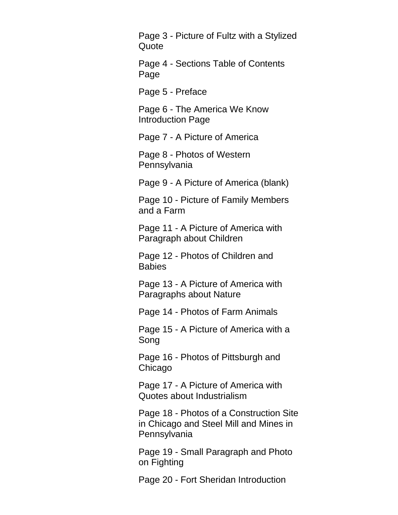Page 3 - Picture of Fultz with a Stylized Quote

Page 4 - Sections Table of Contents Page

Page 5 - Preface

Page 6 - The America We Know Introduction Page

Page 7 - A Picture of America

Page 8 - Photos of Western **Pennsylvania** 

Page 9 - A Picture of America (blank)

Page 10 - Picture of Family Members and a Farm

Page 11 - A Picture of America with Paragraph about Children

Page 12 - Photos of Children and **Babies** 

Page 13 - A Picture of America with Paragraphs about Nature

Page 14 - Photos of Farm Animals

Page 15 - A Picture of America with a Song

Page 16 - Photos of Pittsburgh and Chicago

Page 17 - A Picture of America with Quotes about Industrialism

Page 18 - Photos of a Construction Site in Chicago and Steel Mill and Mines in Pennsylvania

Page 19 - Small Paragraph and Photo on Fighting

Page 20 - Fort Sheridan Introduction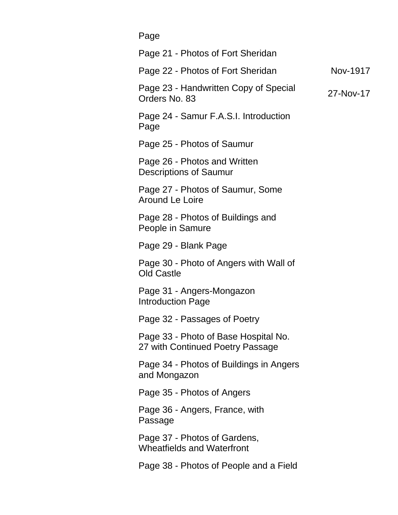Page Page 21 - Photos of Fort Sheridan Page 22 - Photos of Fort Sheridan Nov-1917 Page 23 - Handwritten Copy of Special r age 25 - Handwirtten Oopy of Opecial 27-Nov-17<br>Orders No. 83 Page 24 - Samur F.A.S.I. Introduction Page Page 25 - Photos of Saumur Page 26 - Photos and Written Descriptions of Saumur Page 27 - Photos of Saumur, Some Around Le Loire Page 28 - Photos of Buildings and People in Samure Page 29 - Blank Page Page 30 - Photo of Angers with Wall of Old Castle Page 31 - Angers-Mongazon Introduction Page Page 32 - Passages of Poetry Page 33 - Photo of Base Hospital No. 27 with Continued Poetry Passage Page 34 - Photos of Buildings in Angers and Mongazon Page 35 - Photos of Angers Page 36 - Angers, France, with Passage Page 37 - Photos of Gardens, Wheatfields and Waterfront Page 38 - Photos of People and a Field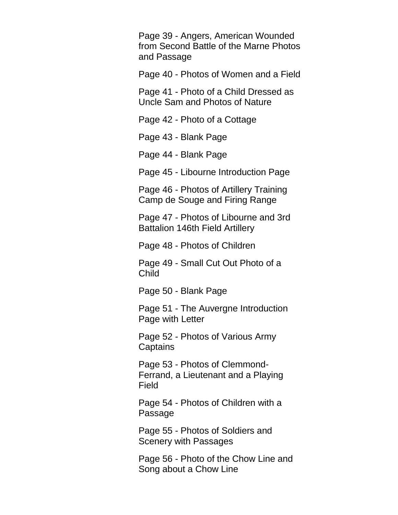Page 39 - Angers, American Wounded from Second Battle of the Marne Photos and Passage

Page 40 - Photos of Women and a Field

Page 41 - Photo of a Child Dressed as Uncle Sam and Photos of Nature

Page 42 - Photo of a Cottage

Page 43 - Blank Page

Page 44 - Blank Page

Page 45 - Libourne Introduction Page

Page 46 - Photos of Artillery Training Camp de Souge and Firing Range

Page 47 - Photos of Libourne and 3rd Battalion 146th Field Artillery

Page 48 - Photos of Children

Page 49 - Small Cut Out Photo of a Child

Page 50 - Blank Page

Page 51 - The Auvergne Introduction Page with Letter

Page 52 - Photos of Various Army **Captains** 

Page 53 - Photos of Clemmond-Ferrand, a Lieutenant and a Playing Field

Page 54 - Photos of Children with a Passage

Page 55 - Photos of Soldiers and Scenery with Passages

Page 56 - Photo of the Chow Line and Song about a Chow Line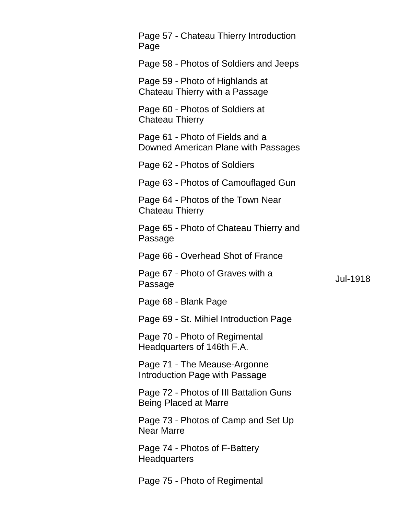| Page 57 - Chateau Thierry Introduction<br>Page                         |          |
|------------------------------------------------------------------------|----------|
| Page 58 - Photos of Soldiers and Jeeps                                 |          |
| Page 59 - Photo of Highlands at<br>Chateau Thierry with a Passage      |          |
| Page 60 - Photos of Soldiers at<br><b>Chateau Thierry</b>              |          |
| Page 61 - Photo of Fields and a<br>Downed American Plane with Passages |          |
| Page 62 - Photos of Soldiers                                           |          |
| Page 63 - Photos of Camouflaged Gun                                    |          |
| Page 64 - Photos of the Town Near<br><b>Chateau Thierry</b>            |          |
| Page 65 - Photo of Chateau Thierry and<br>Passage                      |          |
| Page 66 - Overhead Shot of France                                      |          |
| Page 67 - Photo of Graves with a<br>Passage                            | Jul-1918 |
| Page 68 - Blank Page                                                   |          |
| Page 69 - St. Mihiel Introduction Page                                 |          |
| Page 70 - Photo of Regimental<br>Headquarters of 146th F.A.            |          |
| Page 71 - The Meause-Argonne<br>Introduction Page with Passage         |          |
| Page 72 - Photos of III Battalion Guns<br><b>Being Placed at Marre</b> |          |
| Page 73 - Photos of Camp and Set Up<br><b>Near Marre</b>               |          |
| Page 74 - Photos of F-Battery<br>Headquarters                          |          |
| Page 75 - Photo of Regimental                                          |          |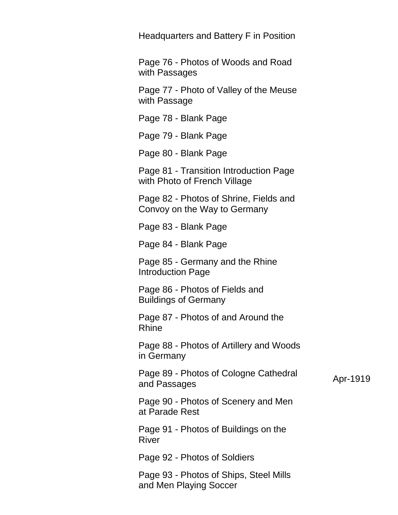Headquarters and Battery F in Position

Page 76 - Photos of Woods and Road with Passages

Page 77 - Photo of Valley of the Meuse with Passage

Page 78 - Blank Page

Page 79 - Blank Page

Page 80 - Blank Page

Page 81 - Transition Introduction Page with Photo of French Village

Page 82 - Photos of Shrine, Fields and Convoy on the Way to Germany

Page 83 - Blank Page

Page 84 - Blank Page

Page 85 - Germany and the Rhine Introduction Page

Page 86 - Photos of Fields and Buildings of Germany

Page 87 - Photos of and Around the Rhine

Page 88 - Photos of Artillery and Woods in Germany

Page 89 - Photos of Cologne Cathedral r age open notes of cologne cathedral and Passages Apr-1919

Page 90 - Photos of Scenery and Men at Parade Rest

Page 91 - Photos of Buildings on the River

Page 92 - Photos of Soldiers

Page 93 - Photos of Ships, Steel Mills and Men Playing Soccer